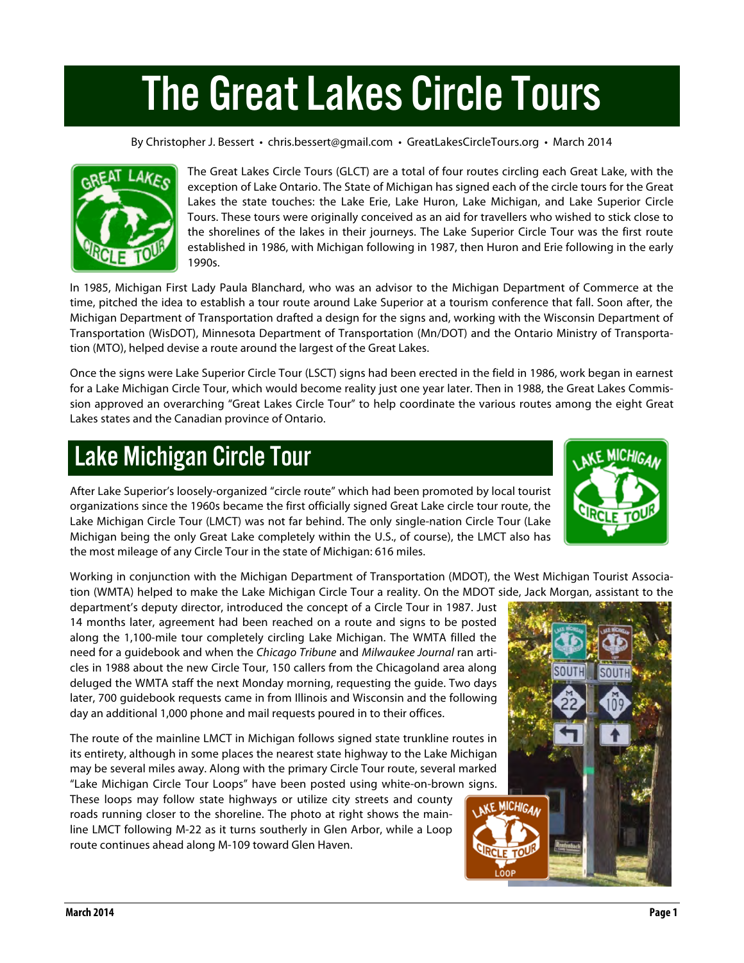## The Great Lakes Circle Tours

By Christopher J. Bessert • chris.bessert@gmail.com • GreatLakesCircleTours.org • March 2014



The Great Lakes Circle Tours (GLCT) are a total of four routes circling each Great Lake, with the exception of Lake Ontario. The State of Michigan has signed each of the circle tours for the Great Lakes the state touches: the Lake Erie, Lake Huron, Lake Michigan, and Lake Superior Circle Tours. These tours were originally conceived as an aid for travellers who wished to stick close to the shorelines of the lakes in their journeys. The Lake Superior Circle Tour was the first route established in 1986, with Michigan following in 1987, then Huron and Erie following in the early 1990s.

In 1985, Michigan First Lady Paula Blanchard, who was an advisor to the Michigan Department of Commerce at the time, pitched the idea to establish a tour route around Lake Superior at a tourism conference that fall. Soon after, the Michigan Department of Transportation drafted a design for the signs and, working with the Wisconsin Department of Transportation (WisDOT), Minnesota Department of Transportation (Mn/DOT) and the Ontario Ministry of Transportation (MTO), helped devise a route around the largest of the Great Lakes.

Once the signs were Lake Superior Circle Tour (LSCT) signs had been erected in the field in 1986, work began in earnest for a Lake Michigan Circle Tour, which would become reality just one year later. Then in 1988, the Great Lakes Commission approved an overarching "Great Lakes Circle Tour" to help coordinate the various routes among the eight Great Lakes states and the Canadian province of Ontario.

## Lake Michigan Circle Tour

After Lake Superior's loosely-organized "circle route" which had been promoted by local tourist organizations since the 1960s became the first officially signed Great Lake circle tour route, the Lake Michigan Circle Tour (LMCT) was not far behind. The only single-nation Circle Tour (Lake Michigan being the only Great Lake completely within the U.S., of course), the LMCT also has the most mileage of any Circle Tour in the state of Michigan: 616 miles.



Working in conjunction with the Michigan Department of Transportation (MDOT), the West Michigan Tourist Association (WMTA) helped to make the Lake Michigan Circle Tour a reality. On the MDOT side, Jack Morgan, assistant to the

department's deputy director, introduced the concept of a Circle Tour in 1987. Just 14 months later, agreement had been reached on a route and signs to be posted along the 1,100-mile tour completely circling Lake Michigan. The WMTA filled the need for a guidebook and when the *Chicago Tribune* and *Milwaukee Journal* ran articles in 1988 about the new Circle Tour, 150 callers from the Chicagoland area along deluged the WMTA staff the next Monday morning, requesting the guide. Two days later, 700 guidebook requests came in from Illinois and Wisconsin and the following day an additional 1,000 phone and mail requests poured in to their offices.

The route of the mainline LMCT in Michigan follows signed state trunkline routes in its entirety, although in some places the nearest state highway to the Lake Michigan may be several miles away. Along with the primary Circle Tour route, several marked "Lake Michigan Circle Tour Loops" have been posted using white-on-brown signs.

These loops may follow state highways or utilize city streets and county roads running closer to the shoreline. The photo at right shows the mainline LMCT following M-22 as it turns southerly in Glen Arbor, while a Loop route continues ahead along M-109 toward Glen Haven.